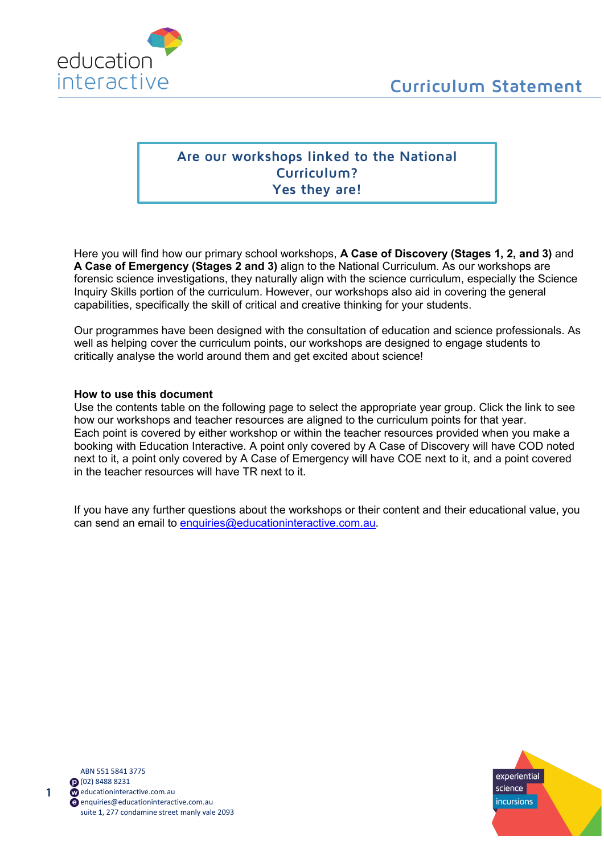

# **Are our workshops linked to the National Curriculum? Yes they are!**

Here you will find how our primary school workshops, **A Case of Discovery (Stages 1, 2, and 3)** and **A Case of Emergency (Stages 2 and 3)** align to the National Curriculum. As our workshops are forensic science investigations, they naturally align with the science curriculum, especially the Science Inquiry Skills portion of the curriculum. However, our workshops also aid in covering the general capabilities, specifically the skill of critical and creative thinking for your students.

Our programmes have been designed with the consultation of education and science professionals. As well as helping cover the curriculum points, our workshops are designed to engage students to critically analyse the world around them and get excited about science!

#### **How to use this document**

Use the contents table on the following page to select the appropriate year group. Click the link to see how our workshops and teacher resources are aligned to the curriculum points for that year. Each point is covered by either workshop or within the teacher resources provided when you make a booking with Education Interactive. A point only covered by A Case of Discovery will have COD noted next to it, a point only covered by A Case of Emergency will have COE next to it, and a point covered in the teacher resources will have TR next to it.

If you have any further questions about the workshops or their content and their educational value, you can send an email to [enquiries@educationinteractive.com.au.](mailto:enquiries@educationinteractive.com.au)

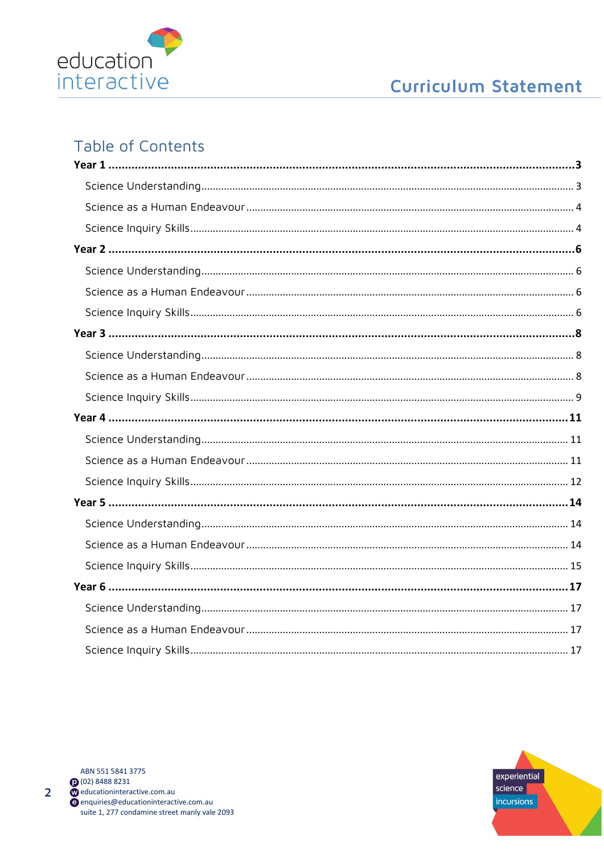

# **Curriculum Statement**

# **Table of Contents**



 $\overline{2}$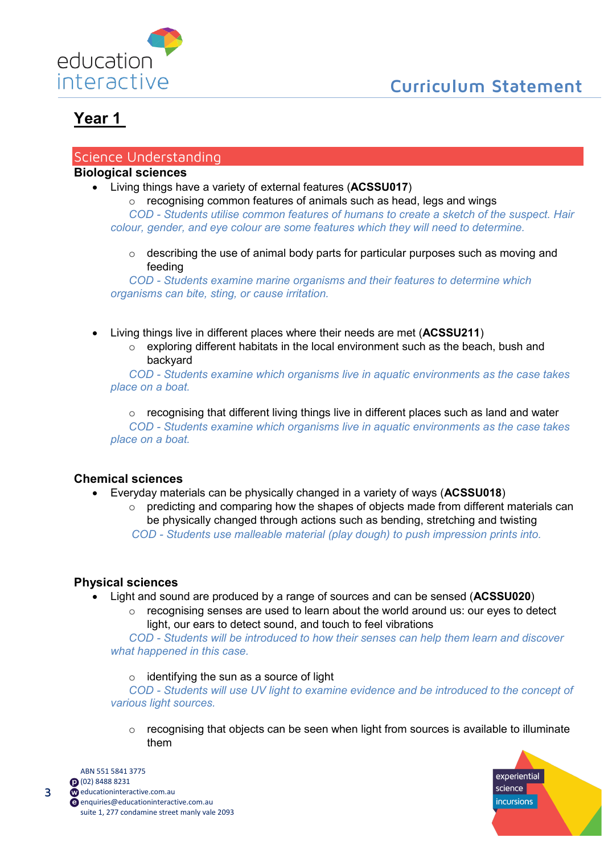

### <span id="page-2-1"></span><span id="page-2-0"></span>Science Understanding

## **Biological sciences**

• Living things have a variety of external features (**ACSSU017**)

o recognising common features of animals such as head, legs and wings *COD - Students utilise common features of humans to create a sketch of the suspect. Hair colour, gender, and eye colour are some features which they will need to determine.*

 $\circ$  describing the use of animal body parts for particular purposes such as moving and feeding

*COD - Students examine marine organisms and their features to determine which organisms can bite, sting, or cause irritation.*

- Living things live in different places where their needs are met (**ACSSU211**)
	- o exploring different habitats in the local environment such as the beach, bush and backyard

*COD - Students examine which organisms live in aquatic environments as the case takes place on a boat.* 

 $\circ$  recognising that different living things live in different places such as land and water *COD - Students examine which organisms live in aquatic environments as the case takes place on a boat.* 

# **Chemical sciences**

- Everyday materials can be physically changed in a variety of ways (**ACSSU018**)
	- $\circ$  predicting and comparing how the shapes of objects made from different materials can be physically changed through actions such as bending, stretching and twisting *COD - Students use malleable material (play dough) to push impression prints into.*

## **Physical sciences**

- Light and sound are produced by a range of sources and can be sensed (**ACSSU020**)
	- $\circ$  recognising senses are used to learn about the world around us: our eyes to detect light, our ears to detect sound, and touch to feel vibrations

*COD - Students will be introduced to how their senses can help them learn and discover what happened in this case.* 

#### $\circ$  identifying the sun as a source of light

*COD - Students will use UV light to examine evidence and be introduced to the concept of various light sources.* 

o recognising that objects can be seen when light from sources is available to illuminate them

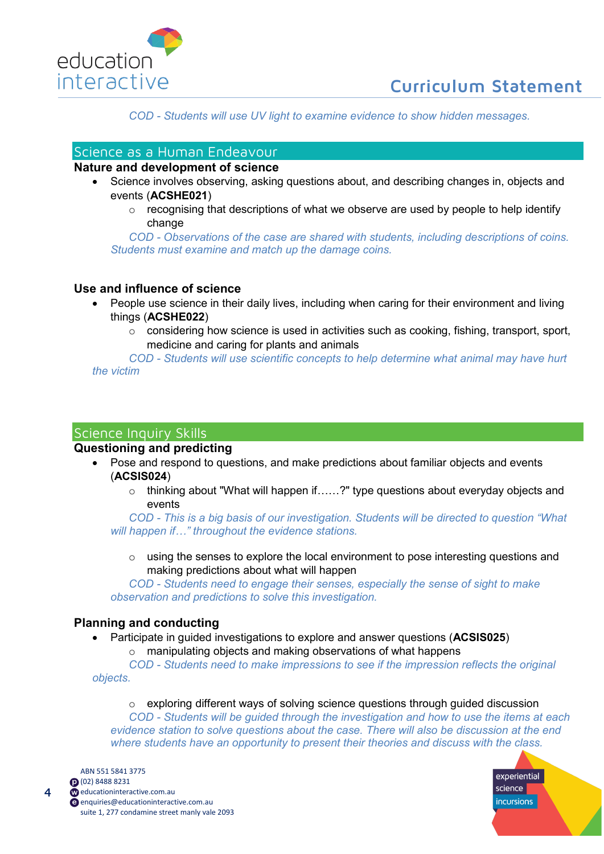

*COD - Students will use UV light to examine evidence to show hidden messages.* 

# <span id="page-3-0"></span>Science as a Human Endeavour

### **Nature and development of science**

- Science involves observing, asking questions about, and describing changes in, objects and events (**ACSHE021**)
	- $\circ$  recognising that descriptions of what we observe are used by people to help identify change

*COD - Observations of the case are shared with students, including descriptions of coins. Students must examine and match up the damage coins.*

## **Use and influence of science**

- People use science in their daily lives, including when caring for their environment and living things (**ACSHE022**)
	- $\circ$  considering how science is used in activities such as cooking, fishing, transport, sport, medicine and caring for plants and animals

*COD - Students will use scientific concepts to help determine what animal may have hurt the victim*

## <span id="page-3-1"></span>Science Inquiry Skills

#### **Questioning and predicting**

- Pose and respond to questions, and make predictions about familiar objects and events (**ACSIS024**)
	- o thinking about "What will happen if……?" type questions about everyday objects and events

*COD - This is a big basis of our investigation. Students will be directed to question "What will happen if…" throughout the evidence stations.* 

 $\circ$  using the senses to explore the local environment to pose interesting questions and making predictions about what will happen

*COD - Students need to engage their senses, especially the sense of sight to make observation and predictions to solve this investigation.* 

#### **Planning and conducting**

- Participate in guided investigations to explore and answer questions (**ACSIS025**)
	- o manipulating objects and making observations of what happens

*COD - Students need to make impressions to see if the impression reflects the original objects.*

o exploring different ways of solving science questions through guided discussion

*COD - Students will be guided through the investigation and how to use the items at each evidence station to solve questions about the case. There will also be discussion at the end where students have an opportunity to present their theories and discuss with the class.* 



 $\overline{\mathbf{A}}$ 

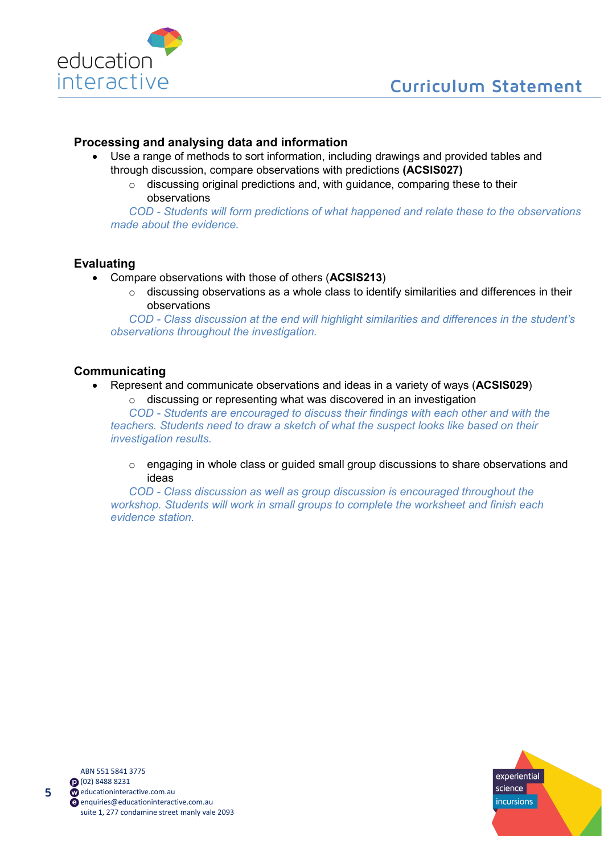

## **Processing and analysing data and information**

- Use a range of methods to sort information, including drawings and provided tables and through discussion, compare observations with predictions **(ACSIS027)**
	- o discussing original predictions and, with guidance, comparing these to their observations

*COD - Students will form predictions of what happened and relate these to the observations made about the evidence.*

## **Evaluating**

- Compare observations with those of others (**ACSIS213**)
	- o discussing observations as a whole class to identify similarities and differences in their observations

*COD - Class discussion at the end will highlight similarities and differences in the student's observations throughout the investigation.*

## **Communicating**

- Represent and communicate observations and ideas in a variety of ways (**ACSIS029**)
	- o discussing or representing what was discovered in an investigation

*COD - Students are encouraged to discuss their findings with each other and with the teachers. Students need to draw a sketch of what the suspect looks like based on their investigation results.*

o engaging in whole class or guided small group discussions to share observations and ideas

*COD - Class discussion as well as group discussion is encouraged throughout the workshop. Students will work in small groups to complete the worksheet and finish each evidence station.*

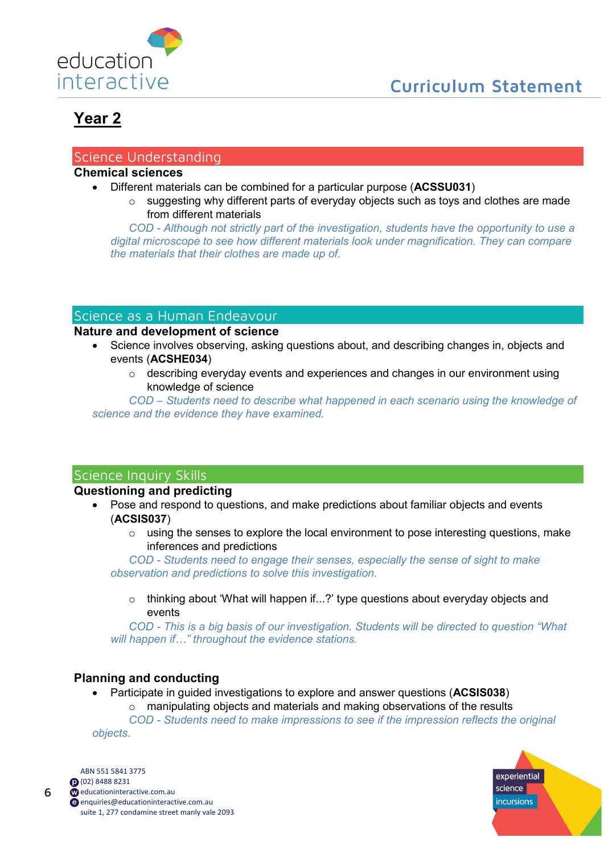

## <span id="page-5-1"></span><span id="page-5-0"></span>Science Understanding

# **Chemical sciences**

- Different materials can be combined for a particular purpose (**ACSSU031**)
	- o suggesting why different parts of everyday objects such as toys and clothes are made from different materials

*COD - Although not strictly part of the investigation, students have the opportunity to use a digital microscope to see how different materials look under magnification. They can compare the materials that their clothes are made up of.*

# <span id="page-5-2"></span>Science as a Human Endeavour

## **Nature and development of science**

- Science involves observing, asking questions about, and describing changes in, objects and events (**ACSHE034**)
	- $\circ$  describing everyday events and experiences and changes in our environment using knowledge of science

*COD – Students need to describe what happened in each scenario using the knowledge of science and the evidence they have examined.*

# <span id="page-5-3"></span>Science Inquiry Skills

## **Questioning and predicting**

- Pose and respond to questions, and make predictions about familiar objects and events (**ACSIS037**)
	- o using the senses to explore the local environment to pose interesting questions, make inferences and predictions

*COD - Students need to engage their senses, especially the sense of sight to make observation and predictions to solve this investigation.* 

o thinking about 'What will happen if...?' type questions about everyday objects and events

*COD - This is a big basis of our investigation. Students will be directed to question "What will happen if…" throughout the evidence stations.* 

## **Planning and conducting**

• Participate in guided investigations to explore and answer questions (**ACSIS038**)  $\circ$  manipulating objects and materials and making observations of the results *COD - Students need to make impressions to see if the impression reflects the original objects.*

ABN 551 5841 3775 (02) 8488 8231 com.au educationinteractive.com.au [enquiries@educationinteractive.com.au](mailto:enquiries@educationinteractive.com.au) suite 1, 277 condamine street manly vale 2093

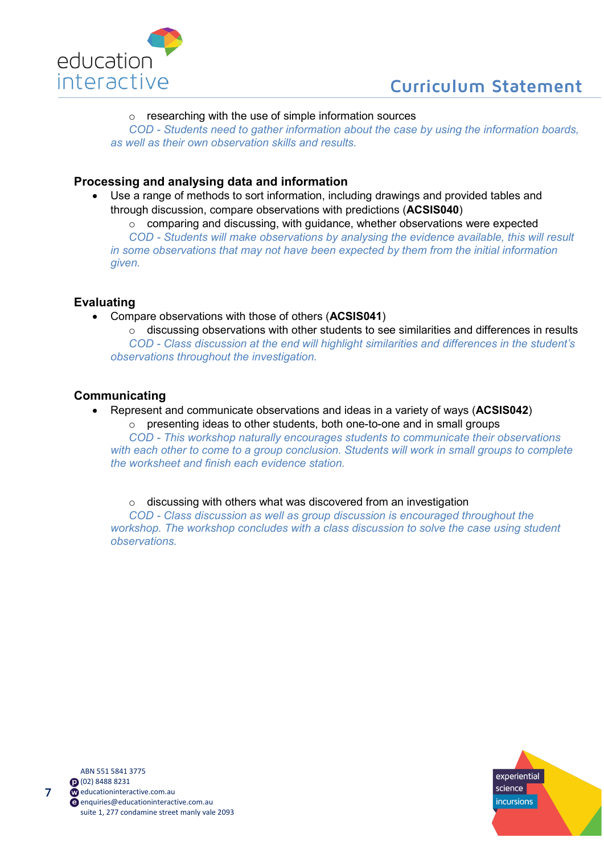



#### o researching with the use of simple information sources

*COD - Students need to gather information about the case by using the information boards, as well as their own observation skills and results.*

## **Processing and analysing data and information**

Use a range of methods to sort information, including drawings and provided tables and through discussion, compare observations with predictions (**ACSIS040**)

 $\circ$  comparing and discussing, with guidance, whether observations were expected *COD - Students will make observations by analysing the evidence available, this will result in some observations that may not have been expected by them from the initial information given.*

## **Evaluating**

• Compare observations with those of others (**ACSIS041**)

 $\circ$  discussing observations with other students to see similarities and differences in results *COD - Class discussion at the end will highlight similarities and differences in the student's observations throughout the investigation.*

## **Communicating**

• Represent and communicate observations and ideas in a variety of ways (**ACSIS042**)  $\circ$  presenting ideas to other students, both one-to-one and in small groups

*COD - This workshop naturally encourages students to communicate their observations*  with each other to come to a group conclusion. Students will work in small groups to complete *the worksheet and finish each evidence station.*

#### o discussing with others what was discovered from an investigation

*COD - Class discussion as well as group discussion is encouraged throughout the workshop. The workshop concludes with a class discussion to solve the case using student observations.*

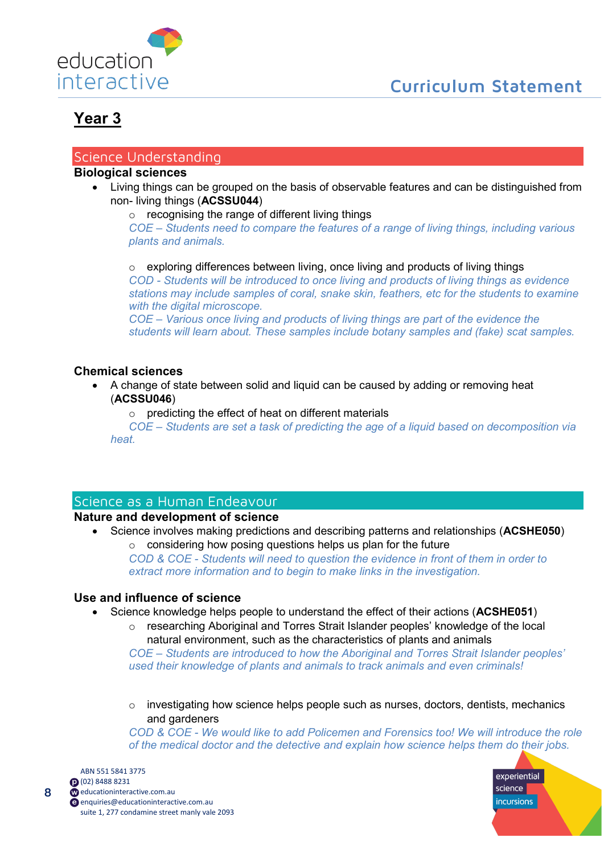

experiential science incursions

# <span id="page-7-0"></span>**Year 3**

## <span id="page-7-1"></span>Science Understanding

## **Biological sciences**

• Living things can be grouped on the basis of observable features and can be distinguished from non- living things (**ACSSU044**)

o recognising the range of different living things

*COE – Students need to compare the features of a range of living things, including various plants and animals.*

 $\circ$  exploring differences between living, once living and products of living things *COD - Students will be introduced to once living and products of living things as evidence stations may include samples of coral, snake skin, feathers, etc for the students to examine* 

*with the digital microscope. COE – Various once living and products of living things are part of the evidence the students will learn about. These samples include botany samples and (fake) scat samples.*

## **Chemical sciences**

- A change of state between solid and liquid can be caused by adding or removing heat (**ACSSU046**)
	- o predicting the effect of heat on different materials

*COE – Students are set a task of predicting the age of a liquid based on decomposition via heat.*

# <span id="page-7-2"></span>Science as a Human Endeavour

## **Nature and development of science**

• Science involves making predictions and describing patterns and relationships (**ACSHE050**)

 $\circ$  considering how posing questions helps us plan for the future *COD & COE - Students will need to question the evidence in front of them in order to extract more information and to begin to make links in the investigation.* 

## **Use and influence of science**

- Science knowledge helps people to understand the effect of their actions (**ACSHE051**)
	- o researching Aboriginal and Torres Strait Islander peoples' knowledge of the local natural environment, such as the characteristics of plants and animals

*COE – Students are introduced to how the Aboriginal and Torres Strait Islander peoples' used their knowledge of plants and animals to track animals and even criminals!*

o investigating how science helps people such as nurses, doctors, dentists, mechanics and gardeners

*COD & COE - We would like to add Policemen and Forensics too! We will introduce the role of the medical doctor and the detective and explain how science helps them do their jobs.*

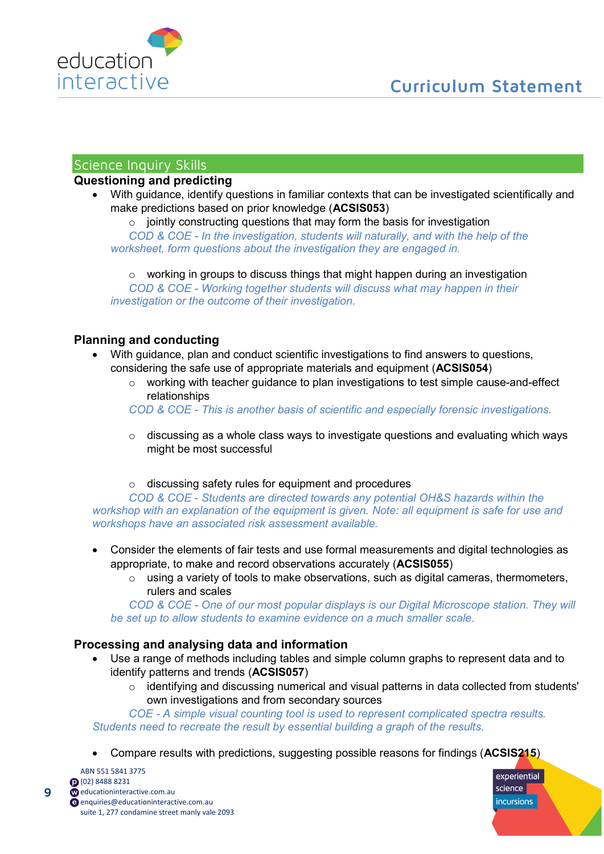

## <span id="page-8-0"></span>Science Inquiry Skills

## **Questioning and predicting**

• With guidance, identify questions in familiar contexts that can be investigated scientifically and make predictions based on prior knowledge (**ACSIS053**)

 $\circ$  jointly constructing questions that may form the basis for investigation *COD & COE - In the investigation, students will naturally, and with the help of the worksheet, form questions about the investigation they are engaged in.*

 $\circ$  working in groups to discuss things that might happen during an investigation *COD & COE - Working together students will discuss what may happen in their investigation or the outcome of their investigation.*

## **Planning and conducting**

- With guidance, plan and conduct scientific investigations to find answers to questions, considering the safe use of appropriate materials and equipment (**ACSIS054**)
	- $\circ$  working with teacher guidance to plan investigations to test simple cause-and-effect relationships

*COD & COE - This is another basis of scientific and especially forensic investigations.*

- $\circ$  discussing as a whole class ways to investigate questions and evaluating which ways might be most successful
- o discussing safety rules for equipment and procedures

*COD & COE - Students are directed towards any potential OH&S hazards within the workshop with an explanation of the equipment is given. Note: all equipment is safe for use and workshops have an associated risk assessment available.*

- Consider the elements of fair tests and use formal measurements and digital technologies as appropriate, to make and record observations accurately (**ACSIS055**)
	- $\circ$  using a variety of tools to make observations, such as digital cameras, thermometers, rulers and scales

*COD & COE - One of our most popular displays is our Digital Microscope station. They will be set up to allow students to examine evidence on a much smaller scale.* 

## **Processing and analysing data and information**

- Use a range of methods including tables and simple column graphs to represent data and to identify patterns and trends (**ACSIS057**)
	- o identifying and discussing numerical and visual patterns in data collected from students' own investigations and from secondary sources

*COE - A simple visual counting tool is used to represent complicated spectra results. Students need to recreate the result by essential building a graph of the results.* 

• Compare results with predictions, suggesting possible reasons for findings (**ACSIS215**)

ABN 551 5841 3775 (02) 8488 8231 educationinteractive.com.au [enquiries@educationinteractive.com.au](mailto:enquiries@educationinteractive.com.au) suite 1, 277 condamine street manly vale 2093

9

experiential science **incursions**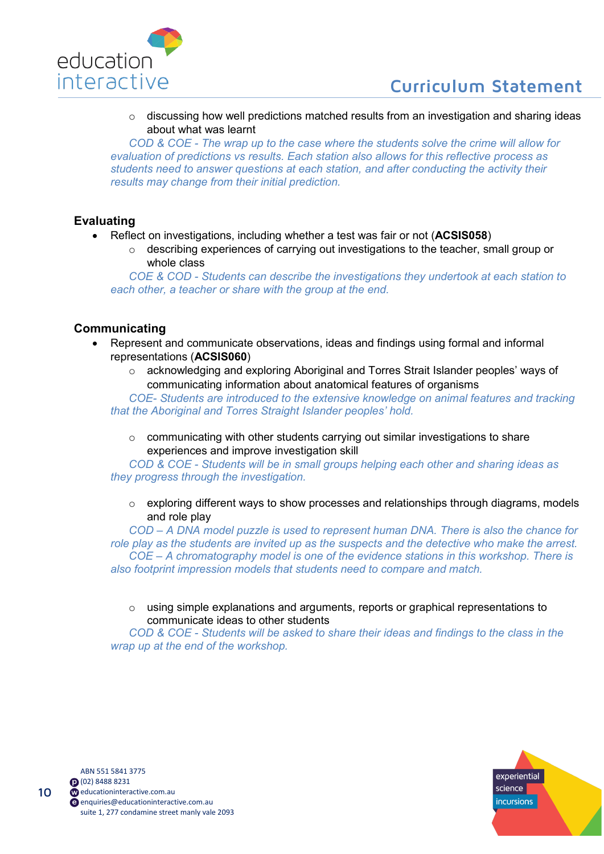

o discussing how well predictions matched results from an investigation and sharing ideas about what was learnt

*COD & COE - The wrap up to the case where the students solve the crime will allow for evaluation of predictions vs results. Each station also allows for this reflective process as students need to answer questions at each station, and after conducting the activity their results may change from their initial prediction.*

# **Evaluating**

- Reflect on investigations, including whether a test was fair or not (**ACSIS058**)
	- o describing experiences of carrying out investigations to the teacher, small group or whole class

*COE & COD - Students can describe the investigations they undertook at each station to each other, a teacher or share with the group at the end.*

# **Communicating**

- Represent and communicate observations, ideas and findings using formal and informal representations (**ACSIS060**)
	- o acknowledging and exploring Aboriginal and Torres Strait Islander peoples' ways of communicating information about anatomical features of organisms

*COE- Students are introduced to the extensive knowledge on animal features and tracking that the Aboriginal and Torres Straight Islander peoples' hold.*

 $\circ$  communicating with other students carrying out similar investigations to share experiences and improve investigation skill

*COD & COE - Students will be in small groups helping each other and sharing ideas as they progress through the investigation.*

 $\circ$  exploring different ways to show processes and relationships through diagrams, models and role play

*COD – A DNA model puzzle is used to represent human DNA. There is also the chance for role play as the students are invited up as the suspects and the detective who make the arrest. COE – A chromatography model is one of the evidence stations in this workshop. There is also footprint impression models that students need to compare and match.* 

o using simple explanations and arguments, reports or graphical representations to communicate ideas to other students

*COD & COE - Students will be asked to share their ideas and findings to the class in the wrap up at the end of the workshop.* 

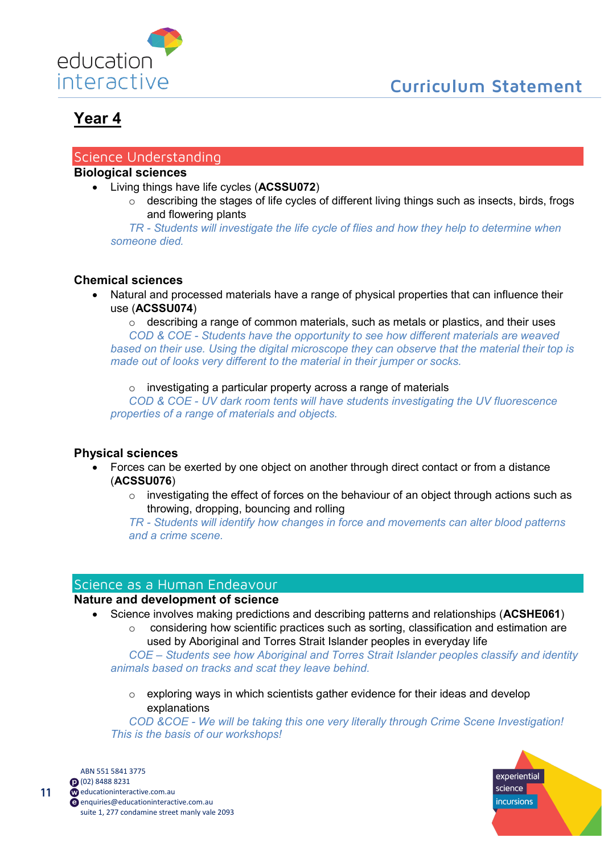

## <span id="page-10-1"></span><span id="page-10-0"></span>Science Understanding

# **Biological sciences**

- Living things have life cycles (**ACSSU072**)
	- o describing the stages of life cycles of different living things such as insects, birds, frogs and flowering plants

*TR - Students will investigate the life cycle of flies and how they help to determine when someone died.*

## **Chemical sciences**

- Natural and processed materials have a range of physical properties that can influence their use (**ACSSU074**)
	- o describing a range of common materials, such as metals or plastics, and their uses

*COD & COE - Students have the opportunity to see how different materials are weaved based on their use. Using the digital microscope they can observe that the material their top is made out of looks very different to the material in their jumper or socks.*

o investigating a particular property across a range of materials

*COD & COE - UV dark room tents will have students investigating the UV fluorescence properties of a range of materials and objects.*

## **Physical sciences**

- Forces can be exerted by one object on another through direct contact or from a distance (**ACSSU076**)
	- $\circ$  investigating the effect of forces on the behaviour of an object through actions such as throwing, dropping, bouncing and rolling

*TR - Students will identify how changes in force and movements can alter blood patterns and a crime scene.*

## <span id="page-10-2"></span>Science as a Human Endeavour

### **Nature and development of science**

- Science involves making predictions and describing patterns and relationships (**ACSHE061**)
	- o considering how scientific practices such as sorting, classification and estimation are used by Aboriginal and Torres Strait Islander peoples in everyday life

*COE – Students see how Aboriginal and Torres Strait Islander peoples classify and identity animals based on tracks and scat they leave behind.*

 $\circ$  exploring ways in which scientists gather evidence for their ideas and develop explanations

*COD &COE - We will be taking this one very literally through Crime Scene Investigation! This is the basis of our workshops!*



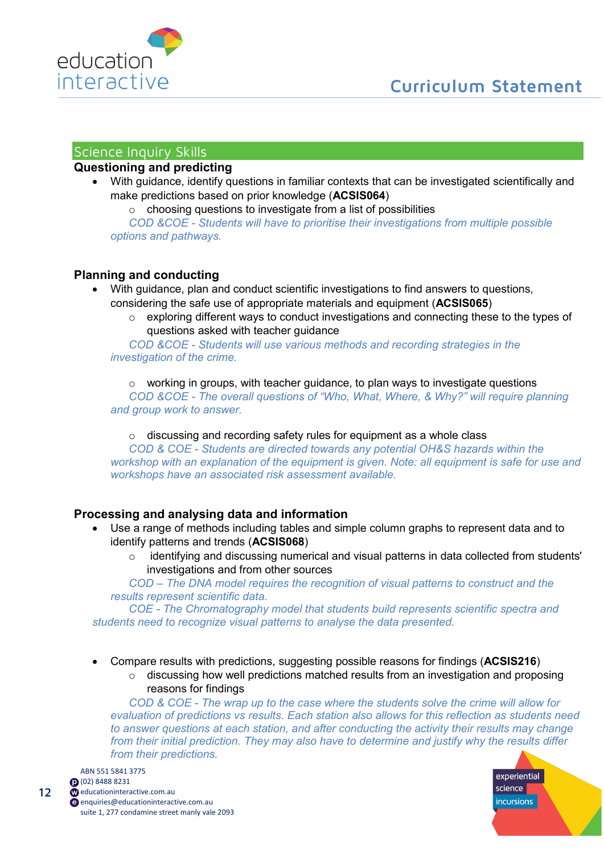

# <span id="page-11-0"></span>Science Inquiry Skills

## **Questioning and predicting**

• With guidance, identify questions in familiar contexts that can be investigated scientifically and make predictions based on prior knowledge (**ACSIS064**)

 $\circ$  choosing questions to investigate from a list of possibilities *COD &COE - Students will have to prioritise their investigations from multiple possible options and pathways.*

## **Planning and conducting**

- With guidance, plan and conduct scientific investigations to find answers to questions, considering the safe use of appropriate materials and equipment (**ACSIS065**)
	- $\circ$  exploring different ways to conduct investigations and connecting these to the types of questions asked with teacher guidance

*COD &COE - Students will use various methods and recording strategies in the investigation of the crime.*

 $\circ$  working in groups, with teacher guidance, to plan ways to investigate questions *COD &COE - The overall questions of "Who, What, Where, & Why?" will require planning and group work to answer.*

 $\circ$  discussing and recording safety rules for equipment as a whole class

*COD & COE - Students are directed towards any potential OH&S hazards within the workshop with an explanation of the equipment is given. Note: all equipment is safe for use and workshops have an associated risk assessment available.*

## **Processing and analysing data and information**

- Use a range of methods including tables and simple column graphs to represent data and to identify patterns and trends (**ACSIS068**)
	- o identifying and discussing numerical and visual patterns in data collected from students' investigations and from other sources

*COD – The DNA model requires the recognition of visual patterns to construct and the results represent scientific data.*

*COE - The Chromatography model that students build represents scientific spectra and students need to recognize visual patterns to analyse the data presented.* 

- Compare results with predictions, suggesting possible reasons for findings (**ACSIS216**)
	- o discussing how well predictions matched results from an investigation and proposing reasons for findings

*COD & COE - The wrap up to the case where the students solve the crime will allow for evaluation of predictions vs results. Each station also allows for this reflection as students need to answer questions at each station, and after conducting the activity their results may change from their initial prediction. They may also have to determine and justify why the results differ from their predictions.*



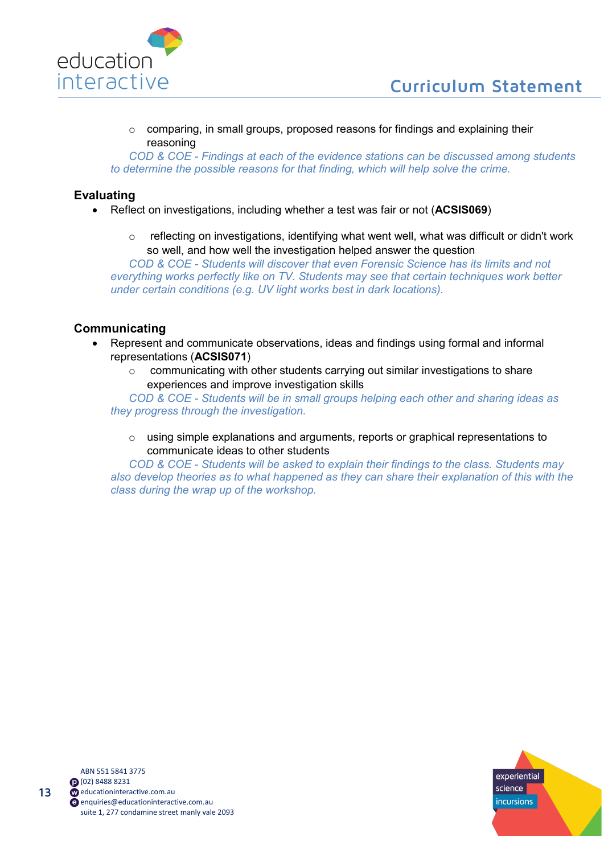

 $\circ$  comparing, in small groups, proposed reasons for findings and explaining their reasoning

*COD & COE - Findings at each of the evidence stations can be discussed among students to determine the possible reasons for that finding, which will help solve the crime.*

## **Evaluating**

- Reflect on investigations, including whether a test was fair or not (**ACSIS069**)
	- $\circ$  reflecting on investigations, identifying what went well, what was difficult or didn't work so well, and how well the investigation helped answer the question

*COD & COE - Students will discover that even Forensic Science has its limits and not everything works perfectly like on TV. Students may see that certain techniques work better under certain conditions (e.g. UV light works best in dark locations).*

## **Communicating**

- Represent and communicate observations, ideas and findings using formal and informal representations (**ACSIS071**)
	- o communicating with other students carrying out similar investigations to share experiences and improve investigation skills

*COD & COE - Students will be in small groups helping each other and sharing ideas as they progress through the investigation.*

 $\circ$  using simple explanations and arguments, reports or graphical representations to communicate ideas to other students

*COD & COE - Students will be asked to explain their findings to the class. Students may also develop theories as to what happened as they can share their explanation of this with the class during the wrap up of the workshop.* 

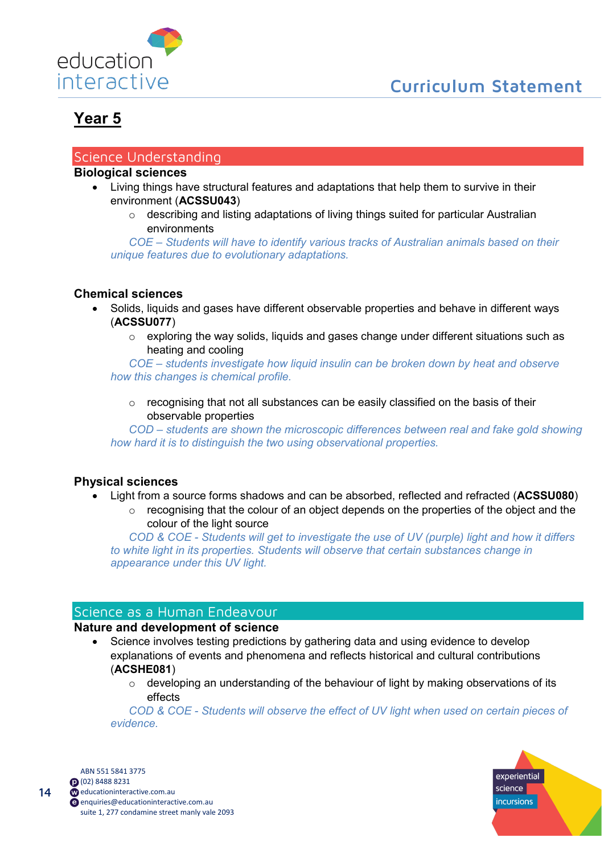

### <span id="page-13-1"></span><span id="page-13-0"></span>Science Understanding

#### **Biological sciences**

- Living things have structural features and adaptations that help them to survive in their environment (**ACSSU043**)
	- o describing and listing adaptations of living things suited for particular Australian environments

*COE – Students will have to identify various tracks of Australian animals based on their unique features due to evolutionary adaptations.* 

## **Chemical sciences**

- Solids, liquids and gases have different observable properties and behave in different ways (**ACSSU077**)
	- $\circ$  exploring the way solids, liquids and gases change under different situations such as heating and cooling

*COE – students investigate how liquid insulin can be broken down by heat and observe how this changes is chemical profile.* 

 $\circ$  recognising that not all substances can be easily classified on the basis of their observable properties

*COD – students are shown the microscopic differences between real and fake gold showing how hard it is to distinguish the two using observational properties.*

#### **Physical sciences**

- Light from a source forms shadows and can be absorbed, reflected and refracted (**ACSSU080**)
	- $\circ$  recognising that the colour of an object depends on the properties of the object and the colour of the light source

*COD & COE - Students will get to investigate the use of UV (purple) light and how it differs to white light in its properties. Students will observe that certain substances change in appearance under this UV light.*

## <span id="page-13-2"></span>Science as a Human Endeavour

## **Nature and development of science**

- Science involves testing predictions by gathering data and using evidence to develop explanations of events and phenomena and reflects historical and cultural contributions (**ACSHE081**)
	- $\circ$  developing an understanding of the behaviour of light by making observations of its effects

*COD & COE - Students will observe the effect of UV light when used on certain pieces of evidence.*



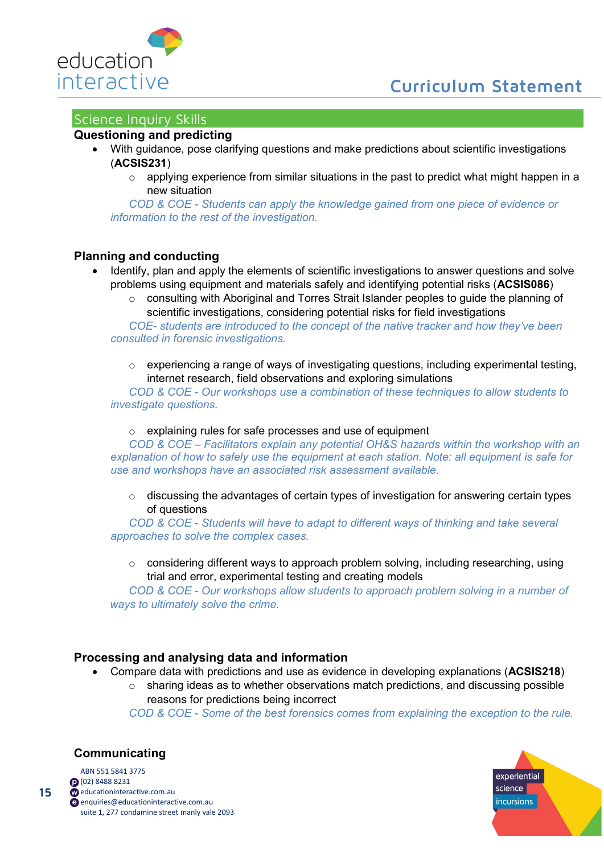

# **Curriculum Statement**

# <span id="page-14-0"></span>Science Inquiry Skills

## **Questioning and predicting**

- With guidance, pose clarifying questions and make predictions about scientific investigations (**ACSIS231**)
	- $\circ$  applying experience from similar situations in the past to predict what might happen in a new situation

*COD & COE - Students can apply the knowledge gained from one piece of evidence or information to the rest of the investigation.*

#### **Planning and conducting**

- Identify, plan and apply the elements of scientific investigations to answer questions and solve problems using equipment and materials safely and identifying potential risks (**ACSIS086**)
	- $\circ$  consulting with Aboriginal and Torres Strait Islander peoples to guide the planning of scientific investigations, considering potential risks for field investigations

*COE- students are introduced to the concept of the native tracker and how they've been consulted in forensic investigations.*

 $\circ$  experiencing a range of ways of investigating questions, including experimental testing, internet research, field observations and exploring simulations

*COD & COE - Our workshops use a combination of these techniques to allow students to investigate questions.*

o explaining rules for safe processes and use of equipment

*COD & COE – Facilitators explain any potential OH&S hazards within the workshop with an explanation of how to safely use the equipment at each station. Note: all equipment is safe for use and workshops have an associated risk assessment available.*

 $\circ$  discussing the advantages of certain types of investigation for answering certain types of questions

*COD & COE - Students will have to adapt to different ways of thinking and take several approaches to solve the complex cases.*

 $\circ$  considering different ways to approach problem solving, including researching, using trial and error, experimental testing and creating models

*COD & COE - Our workshops allow students to approach problem solving in a number of ways to ultimately solve the crime.*

## **Processing and analysing data and information**

- Compare data with predictions and use as evidence in developing explanations (**ACSIS218**)
	- $\circ$  sharing ideas as to whether observations match predictions, and discussing possible reasons for predictions being incorrect

*COD & COE - Some of the best forensics comes from explaining the exception to the rule.*

# **Communicating**

15

ABN 551 5841 3775 (02) 8488 8231 com.au educationinteractive.com.au [enquiries@educationinteractive.com.au](mailto:enquiries@educationinteractive.com.au) suite 1, 277 condamine street manly vale 2093

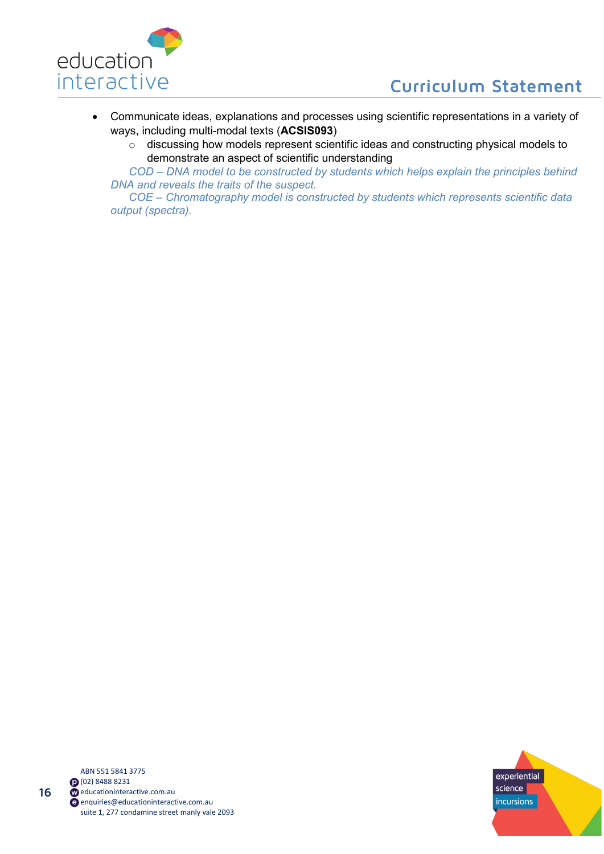

- Communicate ideas, explanations and processes using scientific representations in a variety of ways, including multi-modal texts (**ACSIS093**)
	- o discussing how models represent scientific ideas and constructing physical models to demonstrate an aspect of scientific understanding

*COD – DNA model to be constructed by students which helps explain the principles behind DNA and reveals the traits of the suspect.* 

*COE – Chromatography model is constructed by students which represents scientific data output (spectra).*

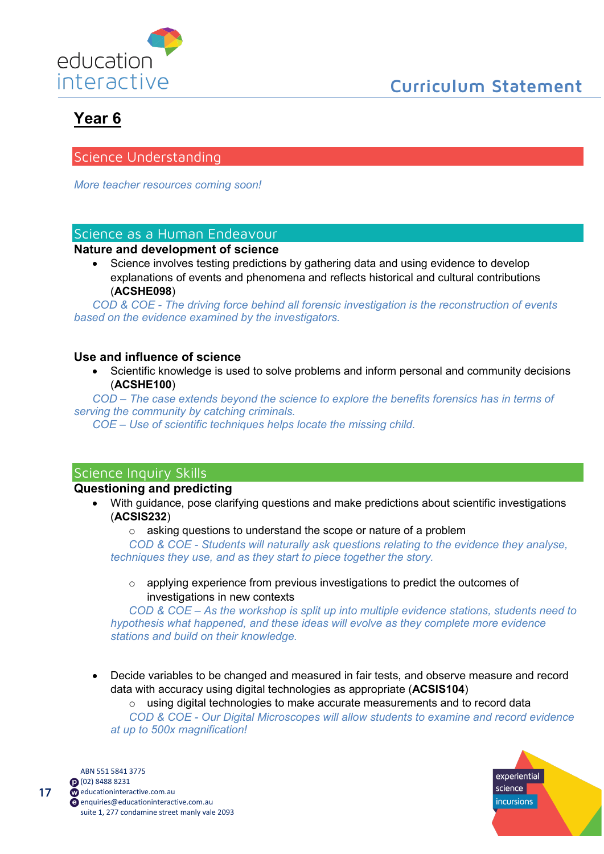

# <span id="page-16-1"></span><span id="page-16-0"></span>Science Understanding

*More teacher resources coming soon!*

# <span id="page-16-2"></span>Science as a Human Endeavour

## **Nature and development of science**

Science involves testing predictions by gathering data and using evidence to develop explanations of events and phenomena and reflects historical and cultural contributions (**ACSHE098**)

*COD & COE - The driving force behind all forensic investigation is the reconstruction of events based on the evidence examined by the investigators.*

## **Use and influence of science**

• Scientific knowledge is used to solve problems and inform personal and community decisions (**ACSHE100**)

*COD – The case extends beyond the science to explore the benefits forensics has in terms of serving the community by catching criminals.* 

*COE – Use of scientific techniques helps locate the missing child.*

# <span id="page-16-3"></span>Science Inquiry Skills

## **Questioning and predicting**

• With guidance, pose clarifying questions and make predictions about scientific investigations (**ACSIS232**)

o asking questions to understand the scope or nature of a problem

*COD & COE - Students will naturally ask questions relating to the evidence they analyse, techniques they use, and as they start to piece together the story.*

o applying experience from previous investigations to predict the outcomes of investigations in new contexts

*COD & COE – As the workshop is split up into multiple evidence stations, students need to hypothesis what happened, and these ideas will evolve as they complete more evidence stations and build on their knowledge.* 

- Decide variables to be changed and measured in fair tests, and observe measure and record data with accuracy using digital technologies as appropriate (**ACSIS104**)
	- o using digital technologies to make accurate measurements and to record data *COD & COE - Our Digital Microscopes will allow students to examine and record evidence at up to 500x magnification!*